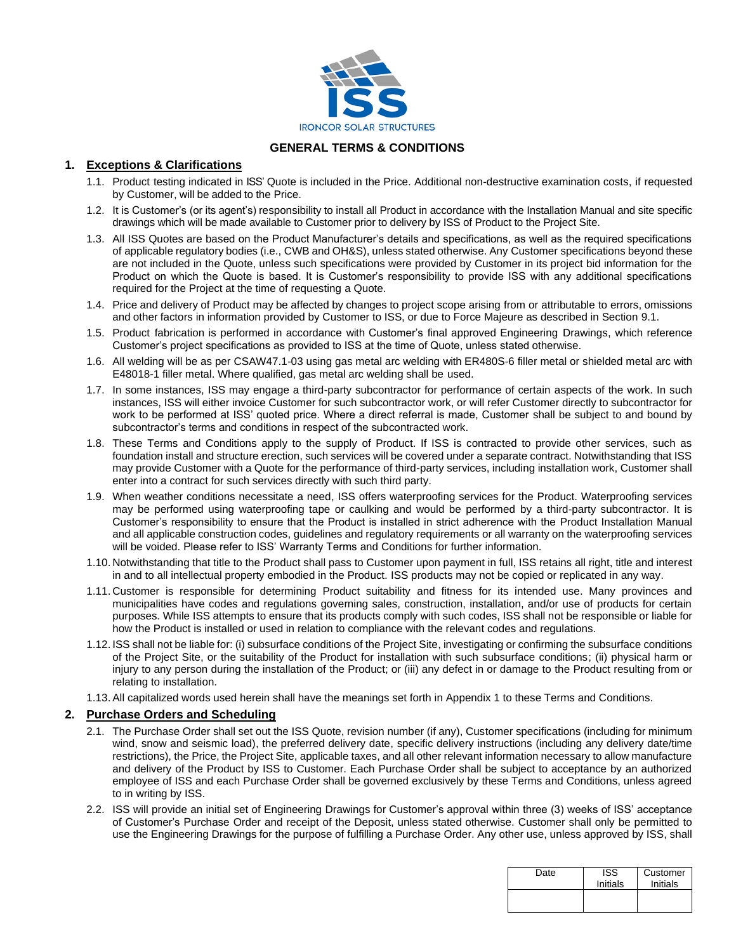

# **GENERAL TERMS & CONDITIONS**

# **1. Exceptions & Clarifications**

- 1.1. Product testing indicated in ISS' Quote is included in the Price. Additional non-destructive examination costs, if requested by Customer, will be added to the Price.
- 1.2. It is Customer's (or its agent's) responsibility to install all Product in accordance with the Installation Manual and site specific drawings which will be made available to Customer prior to delivery by ISS of Product to the Project Site.
- 1.3. All ISS Quotes are based on the Product Manufacturer's details and specifications, as well as the required specifications of applicable regulatory bodies (i.e., CWB and OH&S), unless stated otherwise. Any Customer specifications beyond these are not included in the Quote, unless such specifications were provided by Customer in its project bid information for the Product on which the Quote is based. It is Customer's responsibility to provide ISS with any additional specifications required for the Project at the time of requesting a Quote.
- 1.4. Price and delivery of Product may be affected by changes to project scope arising from or attributable to errors, omissions and other factors in information provided by Customer to ISS, or due to Force Majeure as described in Section [9.1.](#page-2-0)
- 1.5. Product fabrication is performed in accordance with Customer's final approved Engineering Drawings, which reference Customer's project specifications as provided to ISS at the time of Quote, unless stated otherwise.
- 1.6. All welding will be as per CSAW47.1-03 using gas metal arc welding with ER480S-6 filler metal or shielded metal arc with E48018-1 filler metal. Where qualified, gas metal arc welding shall be used.
- 1.7. In some instances, ISS may engage a third-party subcontractor for performance of certain aspects of the work. In such instances, ISS will either invoice Customer for such subcontractor work, or will refer Customer directly to subcontractor for work to be performed at ISS' quoted price. Where a direct referral is made, Customer shall be subject to and bound by subcontractor's terms and conditions in respect of the subcontracted work.
- 1.8. These Terms and Conditions apply to the supply of Product. If ISS is contracted to provide other services, such as foundation install and structure erection, such services will be covered under a separate contract. Notwithstanding that ISS may provide Customer with a Quote for the performance of third-party services, including installation work, Customer shall enter into a contract for such services directly with such third party.
- 1.9. When weather conditions necessitate a need, ISS offers waterproofing services for the Product. Waterproofing services may be performed using waterproofing tape or caulking and would be performed by a third-party subcontractor. It is Customer's responsibility to ensure that the Product is installed in strict adherence with the Product Installation Manual and all applicable construction codes, guidelines and regulatory requirements or all warranty on the waterproofing services will be voided. Please refer to ISS' Warranty Terms and Conditions for further information.
- 1.10. Notwithstanding that title to the Product shall pass to Customer upon payment in full, ISS retains all right, title and interest in and to all intellectual property embodied in the Product. ISS products may not be copied or replicated in any way.
- 1.11. Customer is responsible for determining Product suitability and fitness for its intended use. Many provinces and municipalities have codes and regulations governing sales, construction, installation, and/or use of products for certain purposes. While ISS attempts to ensure that its products comply with such codes, ISS shall not be responsible or liable for how the Product is installed or used in relation to compliance with the relevant codes and regulations.
- 1.12. ISS shall not be liable for: (i) subsurface conditions of the Project Site, investigating or confirming the subsurface conditions of the Project Site, or the suitability of the Product for installation with such subsurface conditions; (ii) physical harm or injury to any person during the installation of the Product; or (iii) any defect in or damage to the Product resulting from or relating to installation.
- 1.13.All capitalized words used herein shall have the meanings set forth in Appendix 1 to these Terms and Conditions.

## **2. Purchase Orders and Scheduling**

- 2.1. The Purchase Order shall set out the ISS Quote, revision number (if any), Customer specifications (including for minimum wind, snow and seismic load), the preferred delivery date, specific delivery instructions (including any delivery date/time restrictions), the Price, the Project Site, applicable taxes, and all other relevant information necessary to allow manufacture and delivery of the Product by ISS to Customer. Each Purchase Order shall be subject to acceptance by an authorized employee of ISS and each Purchase Order shall be governed exclusively by these Terms and Conditions, unless agreed to in writing by ISS.
- 2.2. ISS will provide an initial set of Engineering Drawings for Customer's approval within three (3) weeks of ISS' acceptance of Customer's Purchase Order and receipt of the Deposit, unless stated otherwise. Customer shall only be permitted to use the Engineering Drawings for the purpose of fulfilling a Purchase Order. Any other use, unless approved by ISS, shall

| Date | <b>ISS</b><br>Initials | Customer<br>Initials |
|------|------------------------|----------------------|
|      |                        |                      |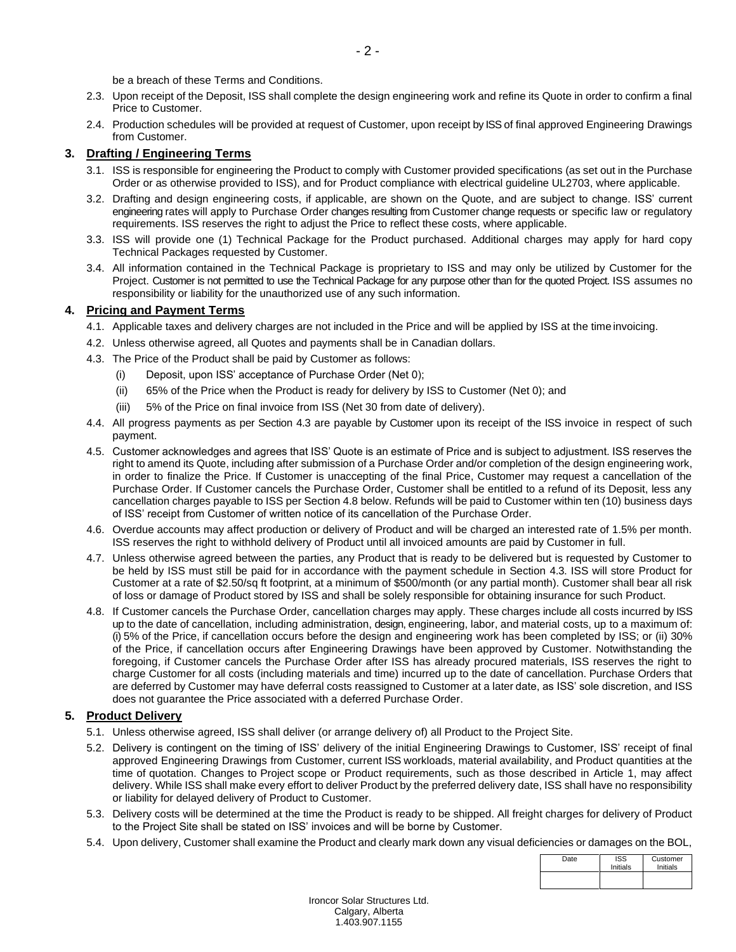be a breach of these Terms and Conditions.

- 2.3. Upon receipt of the Deposit, ISS shall complete the design engineering work and refine its Quote in order to confirm a final Price to Customer.
- 2.4. Production schedules will be provided at request of Customer, upon receipt by ISS of final approved Engineering Drawings from Customer.

# **3. Drafting / Engineering Terms**

- 3.1. ISS is responsible for engineering the Product to comply with Customer provided specifications (as set out in the Purchase Order or as otherwise provided to ISS), and for Product compliance with electrical guideline UL2703, where applicable.
- 3.2. Drafting and design engineering costs, if applicable, are shown on the Quote, and are subject to change. ISS' current engineering rates will apply to Purchase Order changes resulting from Customer change requests or specific law or regulatory requirements. ISS reserves the right to adjust the Price to reflect these costs, where applicable.
- 3.3. ISS will provide one (1) Technical Package for the Product purchased. Additional charges may apply for hard copy Technical Packages requested by Customer.
- 3.4. All information contained in the Technical Package is proprietary to ISS and may only be utilized by Customer for the Project. Customer is not permitted to use the Technical Package for any purpose other than for the quoted Project. ISS assumes no responsibility or liability for the unauthorized use of any such information.

# **4. Pricing and Payment Terms**

- 4.1. Applicable taxes and delivery charges are not included in the Price and will be applied by ISS at the time invoicing.
- 4.2. Unless otherwise agreed, all Quotes and payments shall be in Canadian dollars.
- <span id="page-1-0"></span>4.3. The Price of the Product shall be paid by Customer as follows:
	- (i) Deposit, upon ISS' acceptance of Purchase Order (Net 0);
	- (ii) 65% of the Price when the Product is ready for delivery by ISS to Customer (Net 0); and
	- (iii) 5% of the Price on final invoice from ISS (Net 30 from date of delivery).
- 4.4. All progress payments as per Section [4.3](#page-1-0) are payable by Customer upon its receipt of the ISS invoice in respect of such payment.
- 4.5. Customer acknowledges and agrees that ISS' Quote is an estimate of Price and is subject to adjustment. ISS reserves the right to amend its Quote, including after submission of a Purchase Order and/or completion of the design engineering work, in order to finalize the Price. If Customer is unaccepting of the final Price, Customer may request a cancellation of the Purchase Order. If Customer cancels the Purchase Order, Customer shall be entitled to a refund of its Deposit, less any cancellation charges payable to ISS per Section [4.8](#page-1-1) below. Refunds will be paid to Customer within ten (10) business days of ISS' receipt from Customer of written notice of its cancellation of the Purchase Order.
- 4.6. Overdue accounts may affect production or delivery of Product and will be charged an interested rate of 1.5% per month. ISS reserves the right to withhold delivery of Product until all invoiced amounts are paid by Customer in full.
- 4.7. Unless otherwise agreed between the parties, any Product that is ready to be delivered but is requested by Customer to be held by ISS must still be paid for in accordance with the payment schedule in Section [4.3.](#page-1-0) ISS will store Product for Customer at a rate of \$2.50/sq ft footprint, at a minimum of \$500/month (or any partial month). Customer shall bear all risk of loss or damage of Product stored by ISS and shall be solely responsible for obtaining insurance for such Product.
- <span id="page-1-1"></span>4.8. If Customer cancels the Purchase Order, cancellation charges may apply. These charges include all costs incurred by ISS up to the date of cancellation, including administration, design, engineering, labor, and material costs, up to a maximum of: (i) 5% of the Price, if cancellation occurs before the design and engineering work has been completed by ISS; or (ii) 30% of the Price, if cancellation occurs after Engineering Drawings have been approved by Customer. Notwithstanding the foregoing, if Customer cancels the Purchase Order after ISS has already procured materials, ISS reserves the right to charge Customer for all costs (including materials and time) incurred up to the date of cancellation. Purchase Orders that are deferred by Customer may have deferral costs reassigned to Customer at a later date, as ISS' sole discretion, and ISS does not guarantee the Price associated with a deferred Purchase Order.

# **5. Product Delivery**

- 5.1. Unless otherwise agreed, ISS shall deliver (or arrange delivery of) all Product to the Project Site.
- 5.2. Delivery is contingent on the timing of ISS' delivery of the initial Engineering Drawings to Customer, ISS' receipt of final approved Engineering Drawings from Customer, current ISS workloads, material availability, and Product quantities at the time of quotation. Changes to Project scope or Product requirements, such as those described in Article 1, may affect delivery. While ISS shall make every effort to deliver Product by the preferred delivery date, ISS shall have no responsibility or liability for delayed delivery of Product to Customer.
- 5.3. Delivery costs will be determined at the time the Product is ready to be shipped. All freight charges for delivery of Product to the Project Site shall be stated on ISS' invoices and will be borne by Customer.
- 5.4. Upon delivery, Customer shall examine the Product and clearly mark down any visual deficiencies or damages on the BOL,

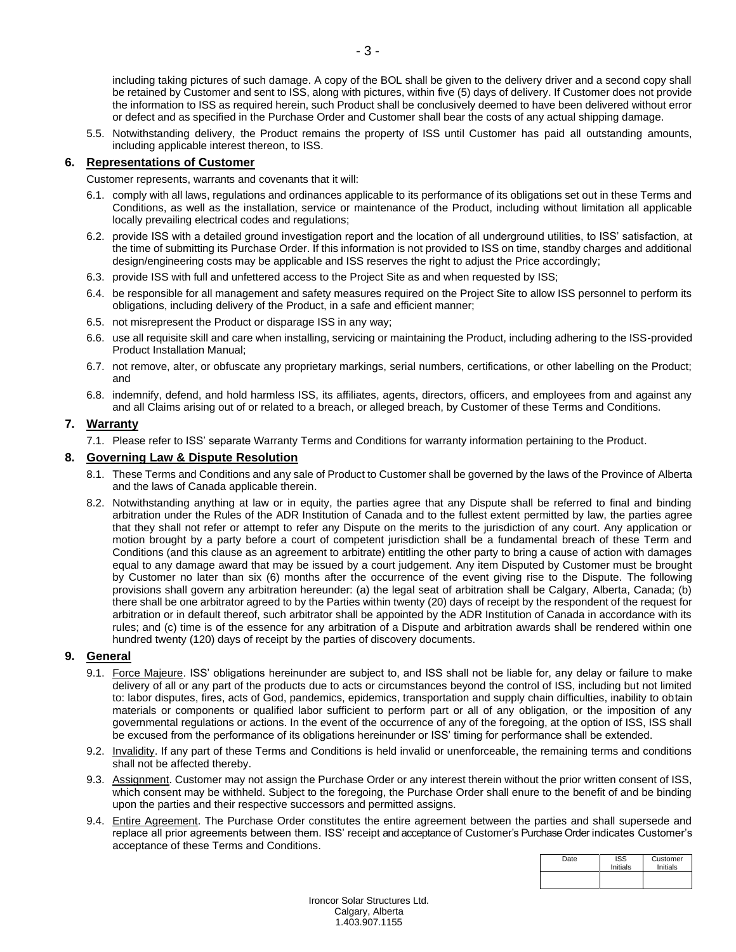including taking pictures of such damage. A copy of the BOL shall be given to the delivery driver and a second copy shall be retained by Customer and sent to ISS, along with pictures, within five (5) days of delivery. If Customer does not provide the information to ISS as required herein, such Product shall be conclusively deemed to have been delivered without error or defect and as specified in the Purchase Order and Customer shall bear the costs of any actual shipping damage.

5.5. Notwithstanding delivery, the Product remains the property of ISS until Customer has paid all outstanding amounts, including applicable interest thereon, to ISS.

### **6. Representations of Customer**

Customer represents, warrants and covenants that it will:

- 6.1. comply with all laws, regulations and ordinances applicable to its performance of its obligations set out in these Terms and Conditions, as well as the installation, service or maintenance of the Product, including without limitation all applicable locally prevailing electrical codes and regulations;
- 6.2. provide ISS with a detailed ground investigation report and the location of all underground utilities, to ISS' satisfaction, at the time of submitting its Purchase Order. If this information is not provided to ISS on time, standby charges and additional design/engineering costs may be applicable and ISS reserves the right to adjust the Price accordingly;
- 6.3. provide ISS with full and unfettered access to the Project Site as and when requested by ISS;
- 6.4. be responsible for all management and safety measures required on the Project Site to allow ISS personnel to perform its obligations, including delivery of the Product, in a safe and efficient manner;
- 6.5. not misrepresent the Product or disparage ISS in any way;
- 6.6. use all requisite skill and care when installing, servicing or maintaining the Product, including adhering to the ISS-provided Product Installation Manual;
- 6.7. not remove, alter, or obfuscate any proprietary markings, serial numbers, certifications, or other labelling on the Product; and
- 6.8. indemnify, defend, and hold harmless ISS, its affiliates, agents, directors, officers, and employees from and against any and all Claims arising out of or related to a breach, or alleged breach, by Customer of these Terms and Conditions.

### **7. Warranty**

7.1. Please refer to ISS' separate Warranty Terms and Conditions for warranty information pertaining to the Product.

#### **8. Governing Law & Dispute Resolution**

- 8.1. These Terms and Conditions and any sale of Product to Customer shall be governed by the laws of the Province of Alberta and the laws of Canada applicable therein.
- 8.2. Notwithstanding anything at law or in equity, the parties agree that any Dispute shall be referred to final and binding arbitration under the Rules of the ADR Institution of Canada and to the fullest extent permitted by law, the parties agree that they shall not refer or attempt to refer any Dispute on the merits to the jurisdiction of any court. Any application or motion brought by a party before a court of competent jurisdiction shall be a fundamental breach of these Term and Conditions (and this clause as an agreement to arbitrate) entitling the other party to bring a cause of action with damages equal to any damage award that may be issued by a court judgement. Any item Disputed by Customer must be brought by Customer no later than six (6) months after the occurrence of the event giving rise to the Dispute. The following provisions shall govern any arbitration hereunder: (a) the legal seat of arbitration shall be Calgary, Alberta, Canada; (b) there shall be one arbitrator agreed to by the Parties within twenty (20) days of receipt by the respondent of the request for arbitration or in default thereof, such arbitrator shall be appointed by the ADR Institution of Canada in accordance with its rules; and (c) time is of the essence for any arbitration of a Dispute and arbitration awards shall be rendered within one hundred twenty (120) days of receipt by the parties of discovery documents.

#### <span id="page-2-0"></span>**9. General**

- 9.1. Force Majeure. ISS' obligations hereinunder are subject to, and ISS shall not be liable for, any delay or failure to make delivery of all or any part of the products due to acts or circumstances beyond the control of ISS, including but not limited to: labor disputes, fires, acts of God, pandemics, epidemics, transportation and supply chain difficulties, inability to obtain materials or components or qualified labor sufficient to perform part or all of any obligation, or the imposition of any governmental regulations or actions. In the event of the occurrence of any of the foregoing, at the option of ISS, ISS shall be excused from the performance of its obligations hereinunder or ISS' timing for performance shall be extended.
- 9.2. Invalidity. If any part of these Terms and Conditions is held invalid or unenforceable, the remaining terms and conditions shall not be affected thereby.
- 9.3. Assignment. Customer may not assign the Purchase Order or any interest therein without the prior written consent of ISS, which consent may be withheld. Subject to the foregoing, the Purchase Order shall enure to the benefit of and be binding upon the parties and their respective successors and permitted assigns.
- 9.4. Entire Agreement. The Purchase Order constitutes the entire agreement between the parties and shall supersede and replace all prior agreements between them. ISS' receipt and acceptance of Customer's Purchase Order indicates Customer's acceptance of these Terms and Conditions.

| Date | <b>ISS</b><br>Initials | Customer<br>Initials |
|------|------------------------|----------------------|
|      |                        |                      |

Ironcor Solar Structures Ltd. Calgary, Alberta 1.403.907.1155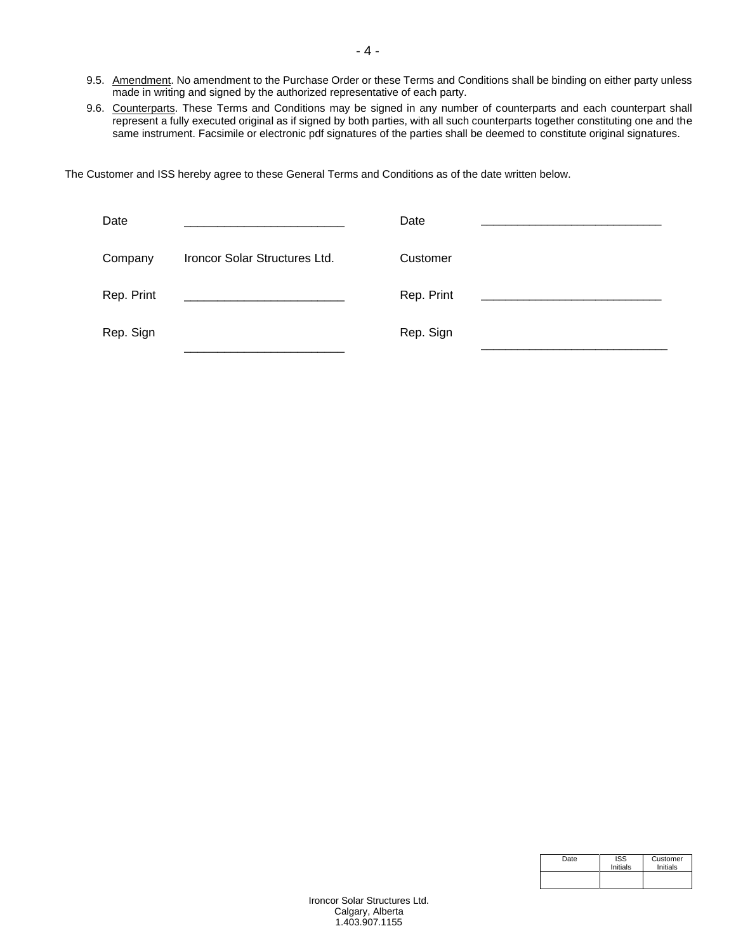- 9.5. Amendment. No amendment to the Purchase Order or these Terms and Conditions shall be binding on either party unless made in writing and signed by the authorized representative of each party.
- 9.6. Counterparts. These Terms and Conditions may be signed in any number of counterparts and each counterpart shall represent a fully executed original as if signed by both parties, with all such counterparts together constituting one and the same instrument. Facsimile or electronic pdf signatures of the parties shall be deemed to constitute original signatures.

The Customer and ISS hereby agree to these General Terms and Conditions as of the date written below.

| Date       |                               | Date       |
|------------|-------------------------------|------------|
| Company    | Ironcor Solar Structures Ltd. | Customer   |
| Rep. Print |                               | Rep. Print |
| Rep. Sign  |                               | Rep. Sign  |

| Date | <b>ISS</b><br>Initials | Customer<br>Initials |
|------|------------------------|----------------------|
|      |                        |                      |

Ironcor Solar Structures Ltd. Calgary, Alberta 1.403.907.1155